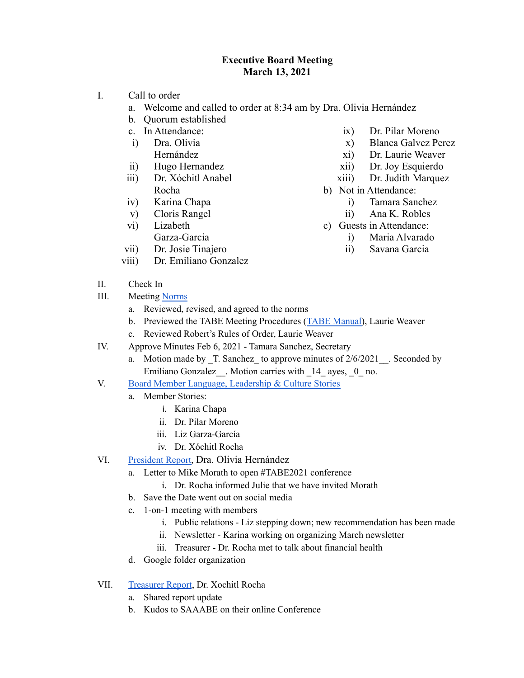## **Executive Board Meeting March 13, 2021**

- I. Call to order
	- a. Welcome and called to order at 8:34 am by Dra. Olivia Hernández
	- b. Quorum established
	- c. In Attendance:
	- i) Dra. Olivia Hernández
	- ii) Hugo Hernandez
	- iii) Dr. Xóchitl Anabel Rocha
	- iv) Karina Chapa
	- v) Cloris Rangel
	- vi) Lizabeth Garza-Garcia
	- vii) Dr. Josie Tinajero
	- viii) Dr. Emiliano Gonzalez
- ix) Dr. Pilar Moreno
- x) Blanca Galvez Perez
- xi) Dr. Laurie Weaver
- xii) Dr. Joy Esquierdo
- xiii) Dr. Judith Marquez
- b) Not in Attendance:
	- i) Tamara Sanchez
	- ii) Ana K. Robles
- c) Guests in Attendance:
	- i) Maria Alvarado
	- ii) Savana Garcia

- II. Check In
- III. Meeting [Norms](https://docs.google.com/presentation/d/1xK3yGQLnTBXlPCyLdYxUT5Yg7k8vnvkKXoutiW29_8Q/edit?usp=sharing)
	- a. Reviewed, revised, and agreed to the norms
	- b. Previewed the TABE Meeting Procedures (TABE [Manual\)](https://drive.google.com/file/d/1Yg5YipkSkBCXfRqRQ-lLcqf_fK9rG63t/view?usp=sharing), Laurie Weaver
	- c. Reviewed Robert's Rules of Order, Laurie Weaver
- IV. Approve Minutes Feb 6, 2021 Tamara Sanchez, Secretary
	- a. Motion made by T. Sanchez to approve minutes of  $2/6/2021$ . Seconded by Emiliano Gonzalez . Motion carries with  $14$  ayes, 0 no.
- V. Board Member Language, [Leadership](https://docs.google.com/presentation/d/1tbhu4Pyzi_oCld2X6km-mNh5IuwHCe1rhhYjns5s5R8/edit?usp=sharing) & Culture Stories
	- a. Member Stories:
		- i. Karina Chapa
		- ii. Dr. Pilar Moreno
		- iii. Liz Garza-García
		- iv. Dr. Xóchitl Rocha
- VI. [President](https://docs.google.com/document/d/16ok98Qr37bnZJhGQRlxFUpNVEI_7hNEy4AWLgYuBAZc/edit?usp=sharing) Report, Dra. Olivia Hernández
	- a. Letter to Mike Morath to open #TABE2021 conference
		- i. Dr. Rocha informed Julie that we have invited Morath
	- b. Save the Date went out on social media
	- c. 1-on-1 meeting with members
		- i. Public relations Liz stepping down; new recommendation has been made
		- ii. Newsletter Karina working on organizing March newsletter
		- iii. Treasurer Dr. Rocha met to talk about financial health
	- d. Google folder organization
- VII. [Treasurer](https://docs.google.com/document/d/1BX1I19u6LC7GWi8RcGlvZ-oFR1iWjG1Z2Bn4JKhPVB8/edit?usp=sharing) Report, Dr. Xochitl Rocha
	- a. Shared report update
	- b. Kudos to SAAABE on their online Conference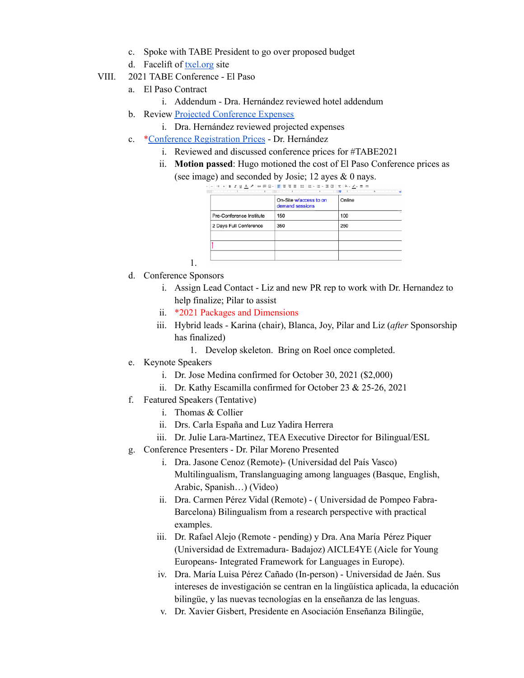- c. Spoke with TABE President to go over proposed budget
- d. Facelift of [txel.org](https://www.txel.org/) site
- VIII. 2021 TABE Conference El Paso
	- a. El Paso Contract
		- i. Addendum Dra. Hernández reviewed hotel addendum
	- b. Review Projected [Conference](https://drive.google.com/file/d/1W0vP3YK1U4yUgGMNMVgguSwbK1611uM_/view?usp=sharing) Expenses
		- i. Dra. Hernández reviewed projected expenses
	- c. \*Conference [Registration](https://docs.google.com/document/d/1qm2dytwJWPCJSFiIWQzpi0k8fdqi-qIcBYarDqLDWpQ/edit?usp=sharing) Prices Dr. Hernández
		- i. Reviewed and discussed conference prices for #TABE2021
		- ii. **Motion passed**: Hugo motioned the cost of El Paso Conference prices as

(see image) and seconded by Josie; 12 ayes & 0 nays. , |- | 13 |+ | B *I* U <u>A</u> ♪ | ∞ 回 Q - | <mark>리</mark> 콩 캠 블 | IE | IE - IE - 프 랜 | X | ♦ - <u>৴</u> - 브 프

|                          | On-Site w/access to on<br>demand sessions | Online |
|--------------------------|-------------------------------------------|--------|
| Pre-Conference Institute | 150                                       | 100    |
| 2 Days Full Conference   | 350                                       | 250    |
|                          |                                           |        |
|                          |                                           |        |
|                          |                                           |        |

d. Conference Sponsors

1.

- i. Assign Lead Contact Liz and new PR rep to work with Dr. Hernandez to help finalize; Pilar to assist
- ii. \*2021 Packages and Dimensions
- iii. Hybrid leads Karina (chair), Blanca, Joy, Pilar and Liz (*after* Sponsorship has finalized)
	- 1. Develop skeleton. Bring on Roel once completed.
- e. Keynote Speakers
	- i. Dr. Jose Medina confirmed for October 30, 2021 (\$2,000)
	- ii. Dr. Kathy Escamilla confirmed for October 23 & 25-26, 2021
- f. Featured Speakers (Tentative)
	- i. Thomas & Collier
	- ii. Drs. Carla España and Luz Yadira Herrera
	- iii. Dr. Julie Lara-Martinez, TEA Executive Director for Bilingual/ESL
- g. Conference Presenters Dr. Pilar Moreno Presented
	- i. Dra. Jasone Cenoz (Remote)- (Universidad del País Vasco) Multilingualism, Translanguaging among languages (Basque, English, Arabic, Spanish…) (Video)
	- ii. Dra. Carmen Pérez Vidal (Remote) ( Universidad de Pompeo Fabra-Barcelona) Bilingualism from a research perspective with practical examples.
	- iii. Dr. Rafael Alejo (Remote pending) y Dra. Ana María Pérez Piquer (Universidad de Extremadura- Badajoz) AICLE4YE (Aicle for Young Europeans- Integrated Framework for Languages in Europe).
	- iv. Dra. María Luisa Pérez Cañado (In-person) Universidad de Jaén. Sus intereses de investigación se centran en la lingüística aplicada, la educación bilingüe, y las nuevas tecnologías en la enseñanza de las lenguas.
	- v. Dr. Xavier Gisbert, Presidente en Asociación Enseñanza Bilingüe,